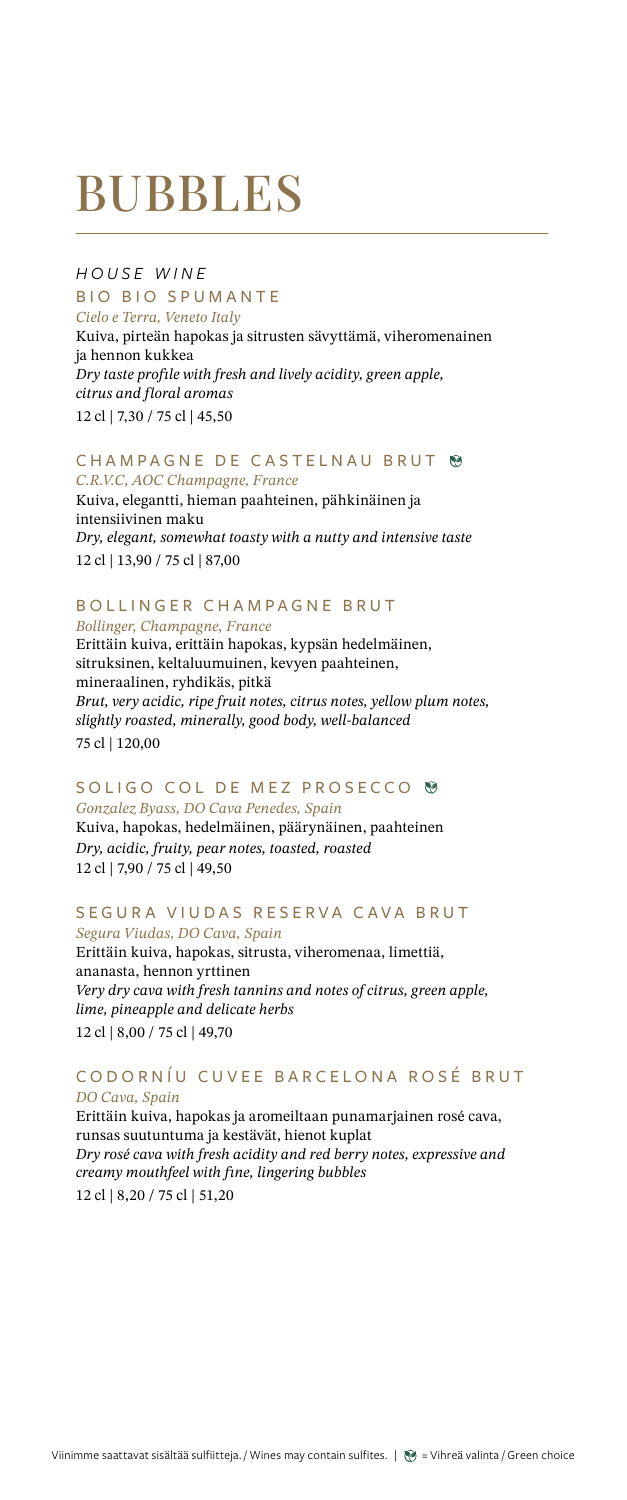# BUBBLES

*HOUSE WINE* BIO BIO SPUMANTE *Cielo e Terra, Veneto Italy*

Kuiva, pirteän hapokas ja sitrusten sävyttämä, viheromenainen ja hennon kukkea *Dry taste profile with fresh and lively acidity, green apple, citrus and floral aromas* 12 cl | 7,30 / 75 cl | 45,50

#### CHAMPAGNE DE CASTELNAU BRUT *C.R.V.C, AOC Champagne, France*

Kuiva, elegantti, hieman paahteinen, pähkinäinen ja intensiivinen maku *Dry, elegant, somewhat toasty with a nutty and intensive taste* 12 cl | 13,90 / 75 cl | 87,00

## BOLLINGER CHAMPAGNE BRUT

*Bollinger, Champagne, France*

Erittäin kuiva, erittäin hapokas, kypsän hedelmäinen, sitruksinen, keltaluumuinen, kevyen paahteinen, mineraalinen, ryhdikäs, pitkä *Brut, very acidic, ripe fruit notes, citrus notes, yellow plum notes, slightly roasted, minerally, good body, well-balanced* 75 cl | 120,00

### SOLIGO COL DE MEZ PROSECCO <sup>®</sup>

*Gonzalez Byass, DO Cava Penedes, Spain* Kuiva, hapokas, hedelmäinen, päärynäinen, paahteinen *Dry, acidic, fruity, pear notes, toasted, roasted* 12 cl | 7,90 / 75 cl | 49,50

## SEGURA VIUDAS RESERVA CAVA BRUT

*Segura Viudas, DO Cava, Spain* Erittäin kuiva, hapokas, sitrusta, viheromenaa, limettiä, ananasta, hennon yrttinen *Very dry cava with fresh tannins and notes of citrus, green apple, lime, pineapple and delicate herbs* 12 cl | 8,00 / 75 cl | 49,70

#### CODORNÍU CUVEE BARCELONA ROSÉ BRUT *DO Cava, Spain*

Erittäin kuiva, hapokas ja aromeiltaan punamarjainen rosé cava, runsas suutuntuma ja kestävät, hienot kuplat *Dry rosé cava with fresh acidity and red berry notes, expressive and creamy mouthfeel with fine, lingering bubbles* 12 cl | 8,20 / 75 cl | 51,20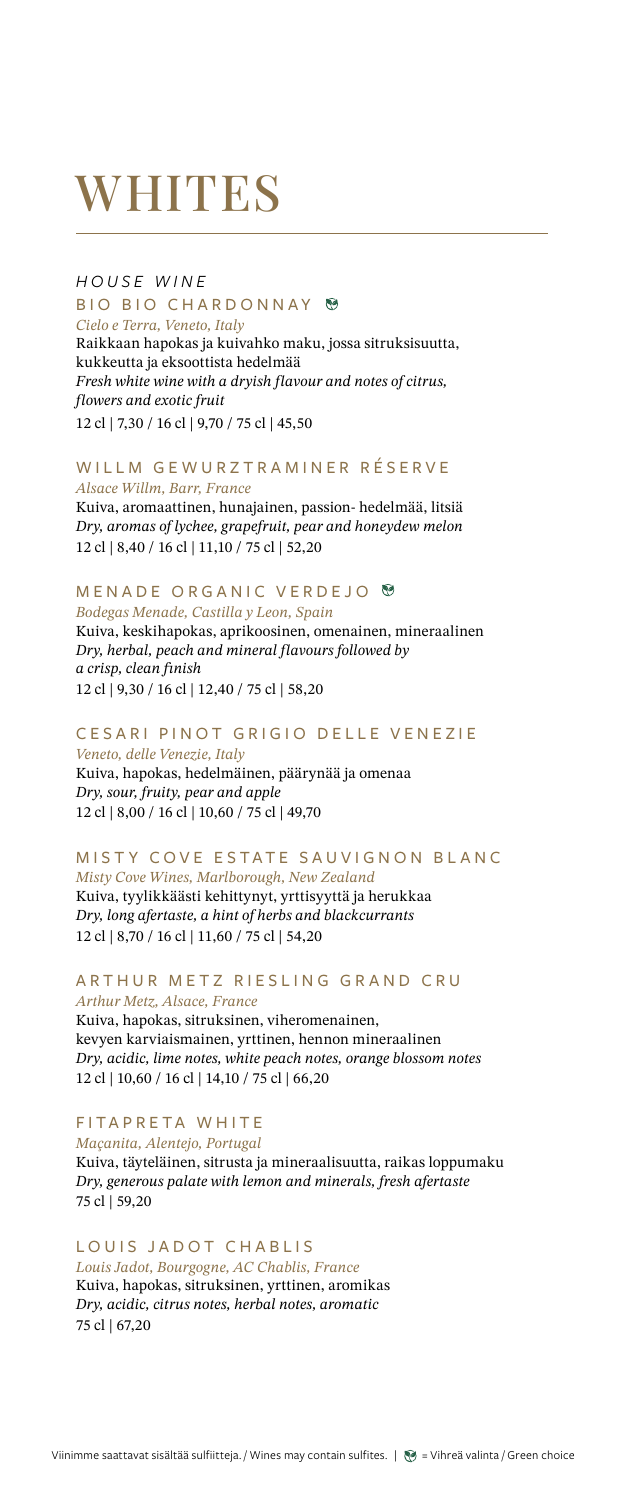# **WHITES**

### *HOUSE WINE* BIO BIO CHARDONNAY <sup>®</sup> *Cielo e Terra, Veneto, Italy*

Raikkaan hapokas ja kuivahko maku, jossa sitruksisuutta, kukkeutta ja eksoottista hedelmää *Fresh white wine with a dryish flavour and notes of citrus, flowers and exotic fruit* 12 cl | 7,30 / 16 cl | 9,70 / 75 cl | 45,50

#### WILLM GEWURZTRAMINER RÉSERVE *Alsace Willm, Barr, France*

Kuiva, aromaattinen, hunajainen, passion- hedelmää, litsiä *Dry, aromas of lychee, grapefruit, pear and honeydew melon* 12 cl | 8,40 / 16 cl | 11,10 / 75 cl | 52,20

## MENADE ORGANIC VERDEJO ®

*Bodegas Menade, Castilla y Leon, Spain* Kuiva, keskihapokas, aprikoosinen, omenainen, mineraalinen *Dry, herbal, peach and mineral flavours followed by a crisp, clean finish* 12 cl | 9,30 / 16 cl | 12,40 / 75 cl | 58,20

### CESARI PINOT GRIGIO DELLE VENEZIE

*Veneto, delle Venezie, Italy* Kuiva, hapokas, hedelmäinen, päärynää ja omenaa *Dry, sour, fruity, pear and apple* 12 cl | 8,00 / 16 cl | 10,60 / 75 cl | 49,70

## MISTY COVE ESTATE SAUVIGNON BLANC

*Misty Cove Wines, Marlborough, New Zealand* Kuiva, tyylikkäästi kehittynyt, yrttisyyttä ja herukkaa *Dry, long afertaste, a hint of herbs and blackcurrants* 12 cl | 8,70 / 16 cl | 11,60 / 75 cl | 54,20

#### ARTHUR METZ RIESLING GRAND CRU *Arthur Metz, Alsace, France*

Kuiva, hapokas, sitruksinen, viheromenainen, kevyen karviaismainen, yrttinen, hennon mineraalinen *Dry, acidic, lime notes, white peach notes, orange blossom notes* 12 cl | 10,60 / 16 cl | 14,10 / 75 cl | 66,20

## FITAPRETA WHITE

*Maçanita, Alentejo, Portugal*

Kuiva, täyteläinen, sitrusta ja mineraalisuutta, raikas loppumaku *Dry, generous palate with lemon and minerals, fresh afertaste* 75 cl | 59,20

#### LOUIS JADOT CHABLIS *Louis Jadot, Bourgogne, AC Chablis, France*

Kuiva, hapokas, sitruksinen, yrttinen, aromikas *Dry, acidic, citrus notes, herbal notes, aromatic* 75 cl | 67,20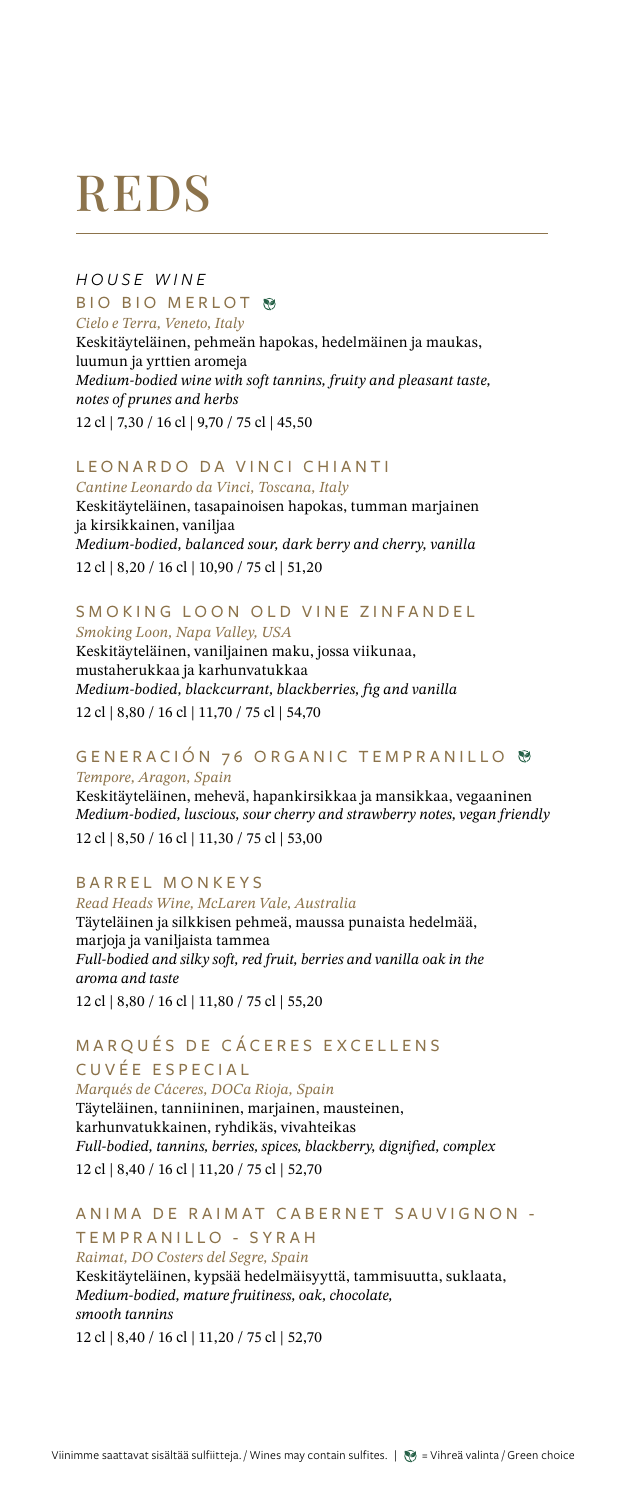# REDS

#### *HOUSE WINE* BIO BIO MERLOT ® *Cielo e Terra, Veneto, Italy*

Keskitäyteläinen, pehmeän hapokas, hedelmäinen ja maukas, luumun ja yrttien aromeja *Medium-bodied wine with soft tannins, fruity and pleasant taste, notes of prunes and herbs* 12 cl | 7,30 / 16 cl | 9,70 / 75 cl | 45,50

#### LEONARDO DA VINCI CHIANTI *Cantine Leonardo da Vinci, Toscana, Italy*

Keskitäyteläinen, tasapainoisen hapokas, tumman marjainen ja kirsikkainen, vaniljaa *Medium-bodied, balanced sour, dark berry and cherry, vanilla* 12 cl | 8,20 / 16 cl | 10,90 / 75 cl | 51,20

#### SMOKING LOON OLD VINE ZINFANDEL *Smoking Loon, Napa Valley, USA*

Keskitäyteläinen, vaniljainen maku, jossa viikunaa, mustaherukkaa ja karhunvatukkaa *Medium-bodied, blackcurrant, blackberries, fig and vanilla* 12 cl | 8,80 / 16 cl | 11,70 / 75 cl | 54,70

#### GENERACIÓN 76 ORGANIC TEMPRANILLO *Tempore, Aragon, Spain*

Keskitäyteläinen, mehevä, hapankirsikkaa ja mansikkaa, vegaaninen *Medium-bodied, luscious, sour cherry and strawberry notes, vegan friendly* 12 cl | 8,50 / 16 cl | 11,30 / 75 cl | 53,00

### BARREL MONKEYS

*Read Heads Wine, McLaren Vale, Australia* Täyteläinen ja silkkisen pehmeä, maussa punaista hedelmää, marjoja ja vaniljaista tammea *Full-bodied and silky soft, red fruit, berries and vanilla oak in the aroma and taste* 

12 cl | 8,80 / 16 cl | 11,80 / 75 cl | 55,20

### MARQUÉS DE CÁCERES EXCELLENS CUVÉE ESPECIAL

*Marqués de Cáceres, DOCa Rioja, Spain*  Täyteläinen, tanniininen, marjainen, mausteinen, karhunvatukkainen, ryhdikäs, vivahteikas *Full-bodied, tannins, berries, spices, blackberry, dignified, complex* 12 cl | 8,40 / 16 cl | 11,20 / 75 cl | 52,70

#### ANIMA DE RAIMAT CABERNET SAUVIGNON -TEMPRANILLO - SYRAH

*Raimat, DO Costers del Segre, Spain* Keskitäyteläinen, kypsää hedelmäisyyttä, tammisuutta, suklaata, *Medium-bodied, mature fruitiness, oak, chocolate, smooth tannins* 12 cl | 8,40 / 16 cl | 11,20 / 75 cl | 52,70